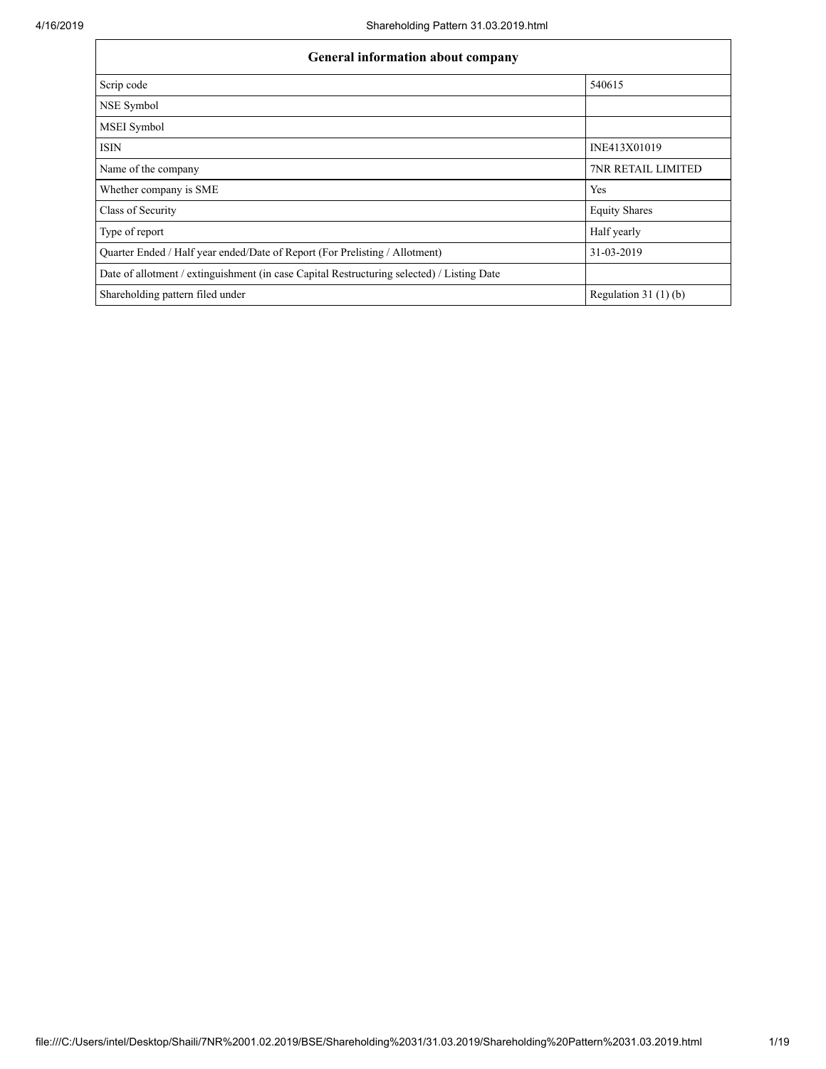| <b>General information about company</b>                                                   |                           |  |  |  |  |  |
|--------------------------------------------------------------------------------------------|---------------------------|--|--|--|--|--|
| Scrip code                                                                                 | 540615                    |  |  |  |  |  |
| NSE Symbol                                                                                 |                           |  |  |  |  |  |
| <b>MSEI</b> Symbol                                                                         |                           |  |  |  |  |  |
| <b>ISIN</b>                                                                                | INE413X01019              |  |  |  |  |  |
| Name of the company                                                                        | <b>7NR RETAIL LIMITED</b> |  |  |  |  |  |
| Whether company is SME                                                                     | Yes                       |  |  |  |  |  |
| Class of Security                                                                          | <b>Equity Shares</b>      |  |  |  |  |  |
| Type of report                                                                             | Half yearly               |  |  |  |  |  |
| Quarter Ended / Half year ended/Date of Report (For Prelisting / Allotment)                | 31-03-2019                |  |  |  |  |  |
| Date of allotment / extinguishment (in case Capital Restructuring selected) / Listing Date |                           |  |  |  |  |  |
| Shareholding pattern filed under                                                           | Regulation 31 $(1)(b)$    |  |  |  |  |  |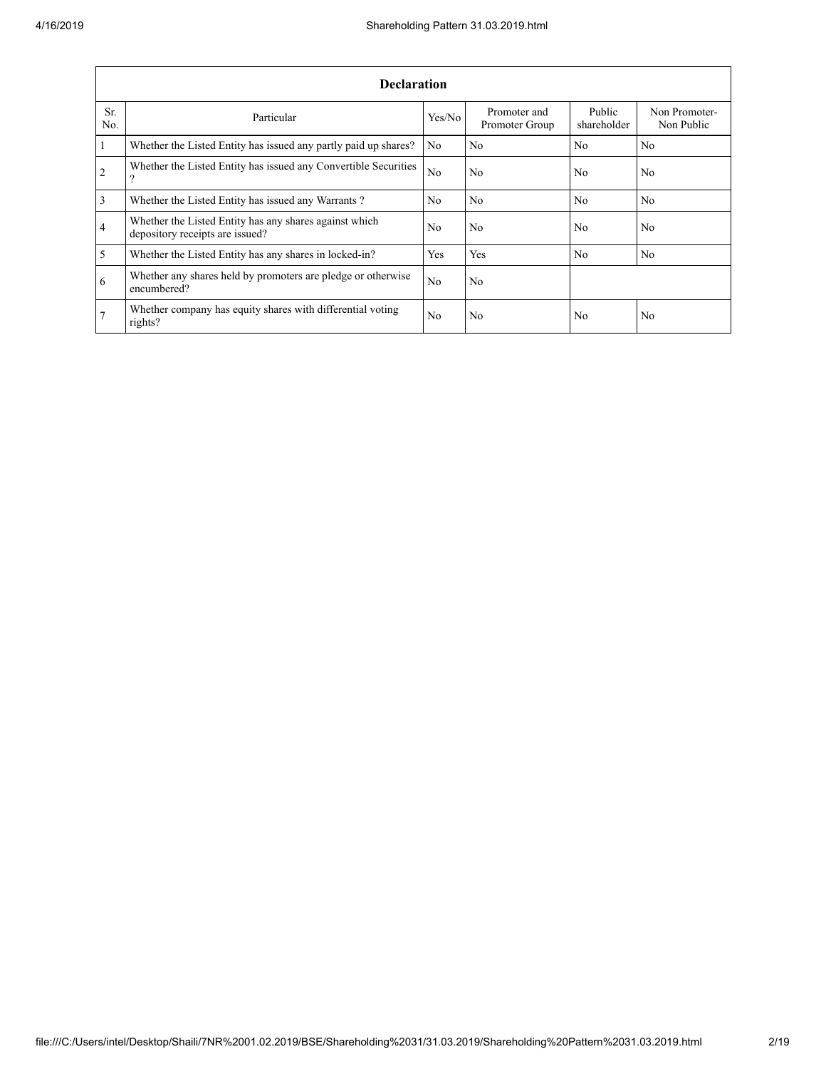|                | <b>Declaration</b>                                                                        |                |                                |                       |                             |  |  |  |  |  |  |  |
|----------------|-------------------------------------------------------------------------------------------|----------------|--------------------------------|-----------------------|-----------------------------|--|--|--|--|--|--|--|
| Sr.<br>No.     | Particular                                                                                | Yes/No         | Promoter and<br>Promoter Group | Public<br>shareholder | Non Promoter-<br>Non Public |  |  |  |  |  |  |  |
| $\overline{1}$ | Whether the Listed Entity has issued any partly paid up shares?                           | N <sub>0</sub> | N <sub>0</sub>                 | N <sub>0</sub>        | N <sub>0</sub>              |  |  |  |  |  |  |  |
| $\overline{2}$ | Whether the Listed Entity has issued any Convertible Securities<br>9                      | N <sub>0</sub> | N <sub>0</sub>                 | N <sub>0</sub>        | N <sub>0</sub>              |  |  |  |  |  |  |  |
| $\overline{3}$ | Whether the Listed Entity has issued any Warrants?                                        | N <sub>0</sub> | N <sub>0</sub>                 | N <sub>0</sub>        | No                          |  |  |  |  |  |  |  |
| $\overline{4}$ | Whether the Listed Entity has any shares against which<br>depository receipts are issued? |                | N <sub>0</sub>                 | N <sub>0</sub>        | N <sub>0</sub>              |  |  |  |  |  |  |  |
| $\overline{5}$ | Whether the Listed Entity has any shares in locked-in?                                    | Yes            | Yes                            | N <sub>0</sub>        | N <sub>0</sub>              |  |  |  |  |  |  |  |
| 6              | Whether any shares held by promoters are pledge or otherwise<br>encumbered?               | N <sub>0</sub> | N <sub>0</sub>                 |                       |                             |  |  |  |  |  |  |  |
| 7              | Whether company has equity shares with differential voting<br>rights?                     | N <sub>0</sub> | N <sub>0</sub>                 | N <sub>0</sub>        | N <sub>0</sub>              |  |  |  |  |  |  |  |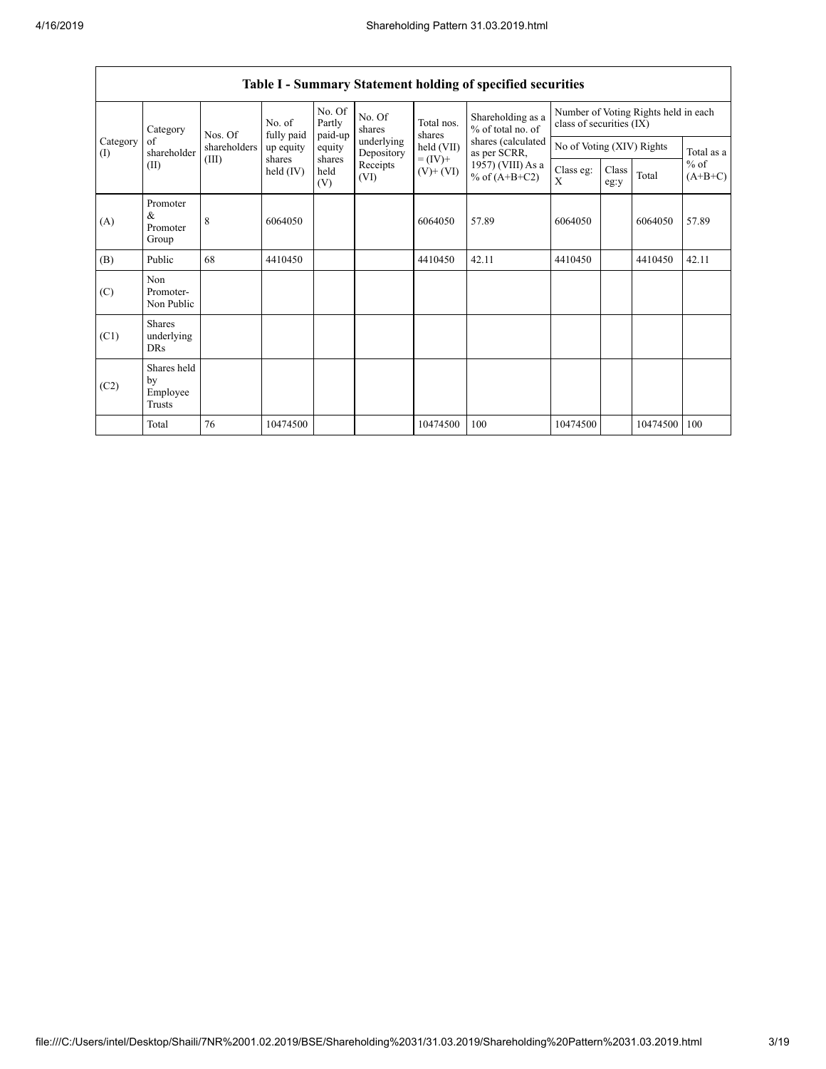|                 | Category                                  | Nos. Of      | No. of<br>fully paid | No. Of<br>Partly<br>paid-up | No. Of<br>shares         | Total nos.<br>shares         | Shareholding as a<br>% of total no. of<br>shares (calculated<br>as per SCRR,<br>1957) (VIII) As a<br>% of $(A+B+C2)$ | Number of Voting Rights held in each<br>class of securities (IX) |                           |          |                     |
|-----------------|-------------------------------------------|--------------|----------------------|-----------------------------|--------------------------|------------------------------|----------------------------------------------------------------------------------------------------------------------|------------------------------------------------------------------|---------------------------|----------|---------------------|
| Category<br>(I) | of<br>shareholder                         | shareholders | up equity            | equity                      | underlying<br>Depository | held (VII)                   |                                                                                                                      |                                                                  | No of Voting (XIV) Rights |          | Total as a          |
| (II)            |                                           | (III)        | shares<br>held (IV)  | shares<br>held<br>(V)       | Receipts<br>(VI)         | $= (IV) +$<br>$(V)$ + $(VI)$ |                                                                                                                      | Class eg:<br>X                                                   | Class<br>eg:y             | Total    | $%$ of<br>$(A+B+C)$ |
| (A)             | Promoter<br>&<br>Promoter<br>Group        | 8            | 6064050              |                             |                          | 6064050                      | 57.89                                                                                                                | 6064050                                                          |                           | 6064050  | 57.89               |
| (B)             | Public                                    | 68           | 4410450              |                             |                          | 4410450                      | 42.11                                                                                                                | 4410450                                                          |                           | 4410450  | 42.11               |
| (C)             | Non<br>Promoter-<br>Non Public            |              |                      |                             |                          |                              |                                                                                                                      |                                                                  |                           |          |                     |
| (C1)            | <b>Shares</b><br>underlying<br><b>DRs</b> |              |                      |                             |                          |                              |                                                                                                                      |                                                                  |                           |          |                     |
| (C2)            | Shares held<br>by<br>Employee<br>Trusts   |              |                      |                             |                          |                              |                                                                                                                      |                                                                  |                           |          |                     |
|                 | Total                                     | 76           | 10474500             |                             |                          | 10474500                     | 100                                                                                                                  | 10474500                                                         |                           | 10474500 | 100                 |

## Table I - Summary Statement holding of specified securities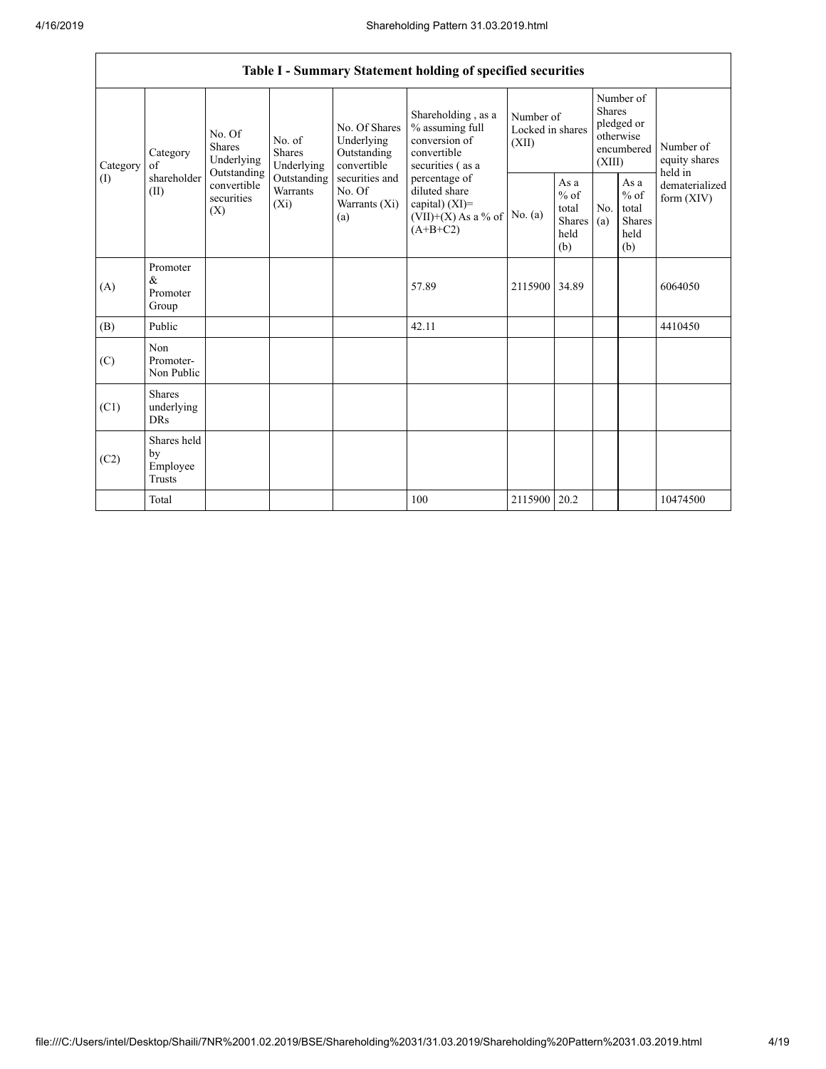|                 | Table I - Summary Statement holding of specified securities |                                                                                                                                                                         |                                                  |                                                                                            |                                                                                           |                                                  |            |                                                                               |                                |                                       |  |  |
|-----------------|-------------------------------------------------------------|-------------------------------------------------------------------------------------------------------------------------------------------------------------------------|--------------------------------------------------|--------------------------------------------------------------------------------------------|-------------------------------------------------------------------------------------------|--------------------------------------------------|------------|-------------------------------------------------------------------------------|--------------------------------|---------------------------------------|--|--|
| Category<br>(1) | Category<br>of<br>shareholder<br>(II)                       | No. Of<br>No. of<br><b>Shares</b><br><b>Shares</b><br>Underlying<br>Underlying<br>Outstanding<br>Outstanding<br>convertible<br>Warrants<br>securities<br>$(X_i)$<br>(X) |                                                  | No. Of Shares<br>Underlying<br>Outstanding<br>convertible                                  | Shareholding, as a<br>% assuming full<br>conversion of<br>convertible<br>securities (as a | Number of<br>Locked in shares<br>(XII)           |            | Number of<br><b>Shares</b><br>pledged or<br>otherwise<br>encumbered<br>(XIII) |                                | Number of<br>equity shares<br>held in |  |  |
|                 |                                                             |                                                                                                                                                                         | securities and<br>No. Of<br>Warrants (Xi)<br>(a) | percentage of<br>diluted share<br>capital) $(XI)$ =<br>$(VII)+(X)$ As a % of<br>$(A+B+C2)$ | No. $(a)$                                                                                 | As a<br>$%$ of<br>total<br>Shares<br>held<br>(b) | No.<br>(a) | As a<br>$%$ of<br>total<br><b>Shares</b><br>held<br>(b)                       | dematerialized<br>form $(XIV)$ |                                       |  |  |
| (A)             | Promoter<br>&<br>Promoter<br>Group                          |                                                                                                                                                                         |                                                  |                                                                                            | 57.89                                                                                     | 2115900                                          | 34.89      |                                                                               |                                | 6064050                               |  |  |
| (B)             | Public                                                      |                                                                                                                                                                         |                                                  |                                                                                            | 42.11                                                                                     |                                                  |            |                                                                               |                                | 4410450                               |  |  |
| (C)             | Non<br>Promoter-<br>Non Public                              |                                                                                                                                                                         |                                                  |                                                                                            |                                                                                           |                                                  |            |                                                                               |                                |                                       |  |  |
| (C1)            | <b>Shares</b><br>underlying<br><b>DRs</b>                   |                                                                                                                                                                         |                                                  |                                                                                            |                                                                                           |                                                  |            |                                                                               |                                |                                       |  |  |
| (C2)            | Shares held<br>by<br>Employee<br>Trusts                     |                                                                                                                                                                         |                                                  |                                                                                            |                                                                                           |                                                  |            |                                                                               |                                |                                       |  |  |
|                 | Total                                                       |                                                                                                                                                                         |                                                  |                                                                                            | 100                                                                                       | 2115900 20.2                                     |            |                                                                               |                                | 10474500                              |  |  |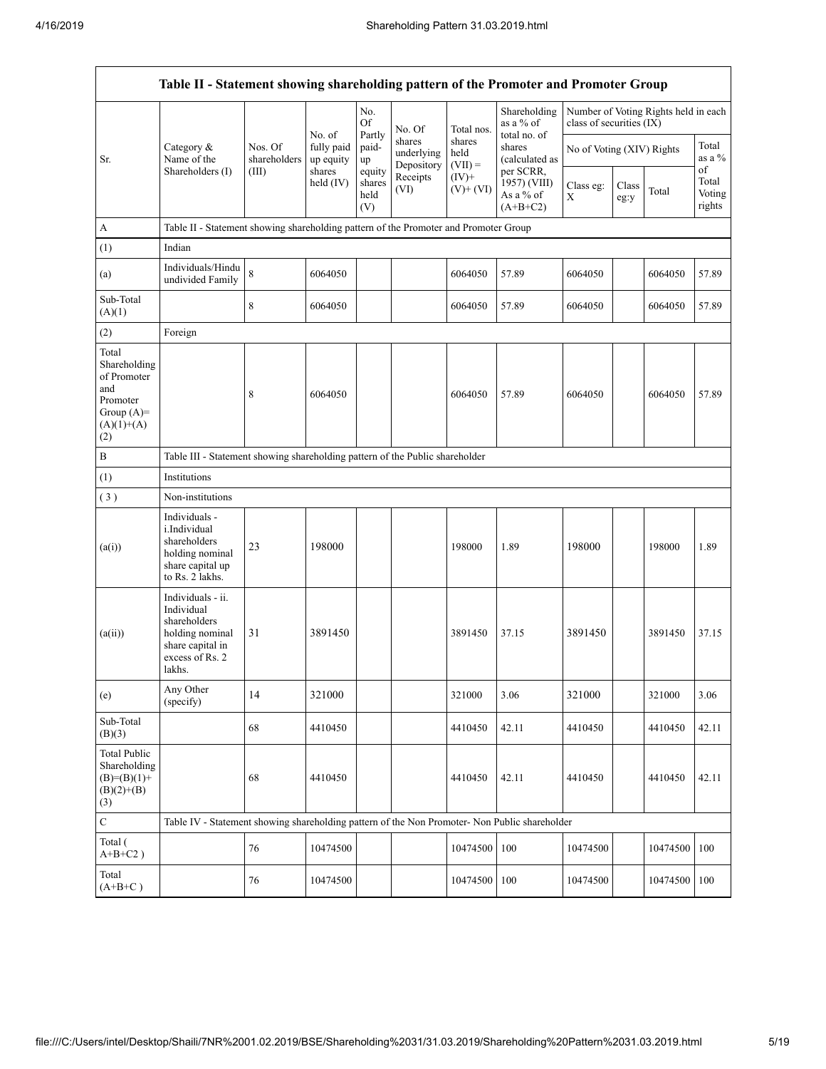| Table II - Statement showing shareholding pattern of the Promoter and Promoter Group           |                                                                                                                     |                                  |                                   |                                 |                                    |                             |                                                      |                           |               |                                      |                           |  |
|------------------------------------------------------------------------------------------------|---------------------------------------------------------------------------------------------------------------------|----------------------------------|-----------------------------------|---------------------------------|------------------------------------|-----------------------------|------------------------------------------------------|---------------------------|---------------|--------------------------------------|---------------------------|--|
|                                                                                                |                                                                                                                     |                                  |                                   | No.<br>Of                       | No. Of                             | Total nos.                  | Shareholding<br>as a % of                            | class of securities (IX)  |               | Number of Voting Rights held in each |                           |  |
| Sr.                                                                                            | Category &<br>Name of the                                                                                           | Nos. Of<br>shareholders<br>(III) | No. of<br>fully paid<br>up equity | Partly<br>paid-<br>up           | shares<br>underlying<br>Depository | shares<br>held<br>$(VII) =$ | total no. of<br>shares<br>(calculated as             | No of Voting (XIV) Rights |               |                                      | Total<br>as a %<br>of     |  |
|                                                                                                | Shareholders (I)                                                                                                    |                                  | shares<br>held $(IV)$             | equity<br>shares<br>held<br>(V) | Receipts<br>(VI)                   | $(IV)$ +<br>$(V)+(VI)$      | per SCRR,<br>1957) (VIII)<br>As a % of<br>$(A+B+C2)$ | Class eg:<br>X            | Class<br>eg:y | Total                                | Total<br>Voting<br>rights |  |
| $\boldsymbol{A}$                                                                               | Table II - Statement showing shareholding pattern of the Promoter and Promoter Group                                |                                  |                                   |                                 |                                    |                             |                                                      |                           |               |                                      |                           |  |
| (1)                                                                                            | Indian                                                                                                              |                                  |                                   |                                 |                                    |                             |                                                      |                           |               |                                      |                           |  |
| (a)                                                                                            | Individuals/Hindu<br>undivided Family                                                                               | $\overline{8}$                   | 6064050                           |                                 |                                    | 6064050                     | 57.89                                                | 6064050                   |               | 6064050                              | 57.89                     |  |
| Sub-Total<br>(A)(1)                                                                            |                                                                                                                     | 8                                | 6064050                           |                                 |                                    | 6064050                     | 57.89                                                | 6064050                   |               | 6064050                              | 57.89                     |  |
| (2)                                                                                            | Foreign                                                                                                             |                                  |                                   |                                 |                                    |                             |                                                      |                           |               |                                      |                           |  |
| Total<br>Shareholding<br>of Promoter<br>and<br>Promoter<br>Group $(A)=$<br>$(A)(1)+(A)$<br>(2) |                                                                                                                     | 8                                | 6064050                           |                                 |                                    | 6064050                     | 57.89                                                | 6064050                   |               | 6064050                              | 57.89                     |  |
| $\, {\bf B}$                                                                                   | Table III - Statement showing shareholding pattern of the Public shareholder                                        |                                  |                                   |                                 |                                    |                             |                                                      |                           |               |                                      |                           |  |
| (1)                                                                                            | Institutions                                                                                                        |                                  |                                   |                                 |                                    |                             |                                                      |                           |               |                                      |                           |  |
| (3)                                                                                            | Non-institutions                                                                                                    |                                  |                                   |                                 |                                    |                             |                                                      |                           |               |                                      |                           |  |
| (a(i))                                                                                         | Individuals -<br>i.Individual<br>shareholders<br>holding nominal<br>share capital up<br>to Rs. 2 lakhs.             | 23                               | 198000                            |                                 |                                    | 198000                      | 1.89                                                 | 198000                    |               | 198000                               | 1.89                      |  |
| (a(ii))                                                                                        | Individuals - ii.<br>Individual<br>shareholders<br>holding nominal<br>share capital in<br>excess of Rs. 2<br>lakhs. | 31                               | 3891450                           |                                 |                                    | 3891450                     | 37.15                                                | 3891450                   |               | 3891450                              | 37.15                     |  |
| (e)                                                                                            | Any Other<br>(specify)                                                                                              | 14                               | 321000                            |                                 |                                    | 321000                      | 3.06                                                 | 321000                    |               | 321000                               | 3.06                      |  |
| Sub-Total<br>(B)(3)                                                                            |                                                                                                                     | 68                               | 4410450                           |                                 |                                    | 4410450                     | 42.11                                                | 4410450                   |               | 4410450                              | 42.11                     |  |
| <b>Total Public</b><br>Shareholding<br>$(B)=(B)(1)+$<br>$(B)(2)+(B)$<br>(3)                    |                                                                                                                     | 68                               | 4410450                           |                                 |                                    | 4410450                     | 42.11                                                | 4410450                   |               | 4410450                              | 42.11                     |  |
| $\mathbf C$                                                                                    | Table IV - Statement showing shareholding pattern of the Non Promoter- Non Public shareholder                       |                                  |                                   |                                 |                                    |                             |                                                      |                           |               |                                      |                           |  |
| Total (<br>$A+B+C2$ )                                                                          |                                                                                                                     | 76                               | 10474500                          |                                 |                                    | 10474500                    | 100                                                  | 10474500                  |               | 10474500                             | 100                       |  |
| Total<br>$(A+B+C)$                                                                             |                                                                                                                     | 76                               | 10474500                          |                                 |                                    | 10474500                    | 100                                                  | 10474500                  |               | 10474500                             | 100                       |  |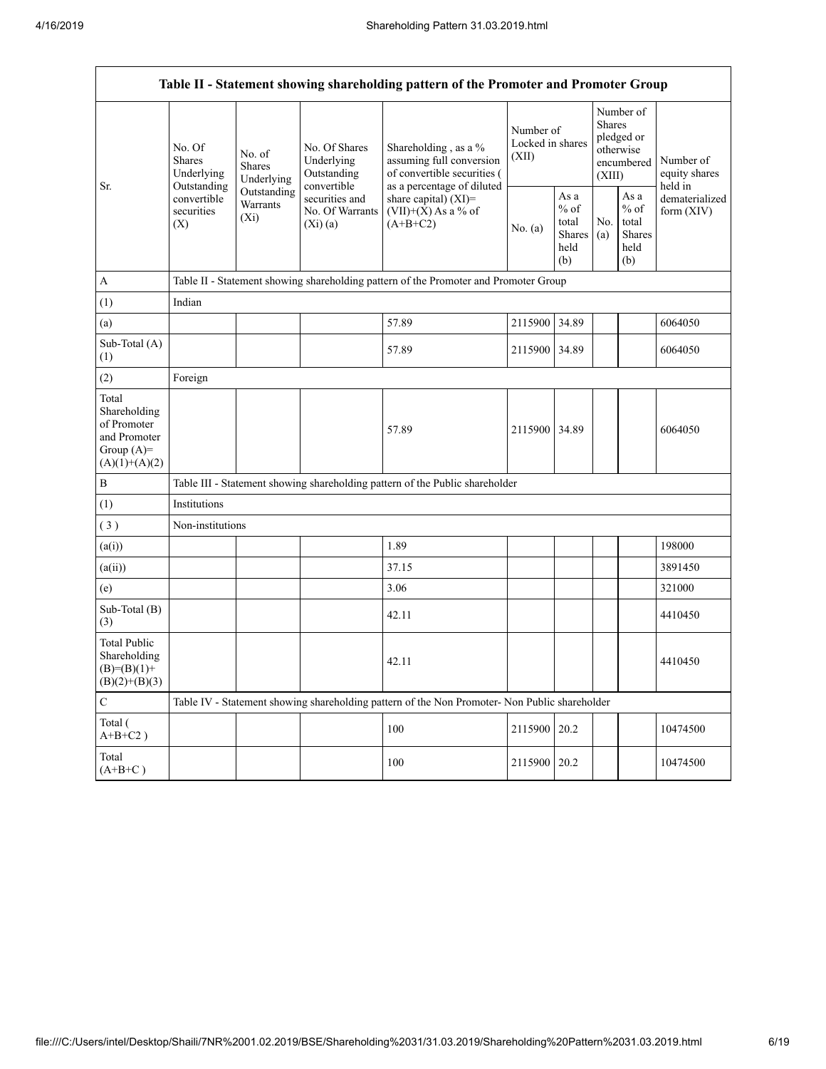Г

| Table II - Statement showing shareholding pattern of the Promoter and Promoter Group                                                       |            |                                              |                                                                                 |                                        |                                                                              |                                                                                                                                                   |                                                                                                                |                                                                               |  |  |  |  |
|--------------------------------------------------------------------------------------------------------------------------------------------|------------|----------------------------------------------|---------------------------------------------------------------------------------|----------------------------------------|------------------------------------------------------------------------------|---------------------------------------------------------------------------------------------------------------------------------------------------|----------------------------------------------------------------------------------------------------------------|-------------------------------------------------------------------------------|--|--|--|--|
| No. Of<br>No. of<br><b>Shares</b><br>Shares<br>Underlying<br>Outstanding<br>convertible<br><b>Warrants</b><br>securities<br>$(X_i)$<br>(X) | Underlying | No. Of Shares<br>Underlying<br>Outstanding   | Shareholding, as a %<br>assuming full conversion<br>of convertible securities ( | Number of<br>Locked in shares<br>(XII) |                                                                              |                                                                                                                                                   |                                                                                                                | Number of<br>equity shares<br>held in                                         |  |  |  |  |
|                                                                                                                                            |            | securities and<br>No. Of Warrants<br>(Xi)(a) | share capital) (XI)=<br>$(VII)+(X)$ As a % of<br>$(A+B+C2)$                     | No. (a)                                | As a<br>$%$ of<br>total<br>held<br>(b)                                       | No.<br>(a)                                                                                                                                        | As a<br>$%$ of<br>total<br><b>Shares</b><br>held<br>(b)                                                        | dematerialized<br>form $(XIV)$                                                |  |  |  |  |
|                                                                                                                                            |            |                                              |                                                                                 |                                        |                                                                              |                                                                                                                                                   |                                                                                                                |                                                                               |  |  |  |  |
|                                                                                                                                            |            |                                              |                                                                                 |                                        |                                                                              |                                                                                                                                                   |                                                                                                                |                                                                               |  |  |  |  |
|                                                                                                                                            |            |                                              | 57.89                                                                           |                                        | 34.89                                                                        |                                                                                                                                                   |                                                                                                                | 6064050                                                                       |  |  |  |  |
|                                                                                                                                            |            |                                              | 57.89                                                                           |                                        | 34.89                                                                        |                                                                                                                                                   |                                                                                                                | 6064050                                                                       |  |  |  |  |
| Foreign                                                                                                                                    |            |                                              |                                                                                 |                                        |                                                                              |                                                                                                                                                   |                                                                                                                |                                                                               |  |  |  |  |
|                                                                                                                                            |            |                                              | 57.89                                                                           |                                        |                                                                              |                                                                                                                                                   |                                                                                                                | 6064050                                                                       |  |  |  |  |
|                                                                                                                                            |            |                                              |                                                                                 |                                        |                                                                              |                                                                                                                                                   |                                                                                                                |                                                                               |  |  |  |  |
| Institutions                                                                                                                               |            |                                              |                                                                                 |                                        |                                                                              |                                                                                                                                                   |                                                                                                                |                                                                               |  |  |  |  |
|                                                                                                                                            |            |                                              |                                                                                 |                                        |                                                                              |                                                                                                                                                   |                                                                                                                |                                                                               |  |  |  |  |
|                                                                                                                                            |            |                                              | 1.89                                                                            |                                        |                                                                              |                                                                                                                                                   |                                                                                                                | 198000                                                                        |  |  |  |  |
|                                                                                                                                            |            |                                              | 37.15                                                                           |                                        |                                                                              |                                                                                                                                                   |                                                                                                                | 3891450                                                                       |  |  |  |  |
|                                                                                                                                            |            |                                              | 3.06                                                                            |                                        |                                                                              |                                                                                                                                                   |                                                                                                                | 321000                                                                        |  |  |  |  |
|                                                                                                                                            |            |                                              | 42.11                                                                           |                                        |                                                                              |                                                                                                                                                   |                                                                                                                | 4410450                                                                       |  |  |  |  |
|                                                                                                                                            |            |                                              | 42.11                                                                           |                                        |                                                                              |                                                                                                                                                   |                                                                                                                | 4410450                                                                       |  |  |  |  |
|                                                                                                                                            |            |                                              |                                                                                 |                                        |                                                                              |                                                                                                                                                   |                                                                                                                |                                                                               |  |  |  |  |
|                                                                                                                                            |            |                                              | 100                                                                             |                                        | 20.2                                                                         |                                                                                                                                                   |                                                                                                                | 10474500                                                                      |  |  |  |  |
|                                                                                                                                            |            |                                              | 100                                                                             |                                        | 20.2                                                                         |                                                                                                                                                   |                                                                                                                | 10474500                                                                      |  |  |  |  |
|                                                                                                                                            | Indian     | Outstanding<br>Non-institutions              | convertible                                                                     | as a percentage of diluted             | Table III - Statement showing shareholding pattern of the Public shareholder | Table II - Statement showing shareholding pattern of the Promoter and Promoter Group<br>2115900<br>2115900<br>2115900 34.89<br>2115900<br>2115900 | <b>Shares</b><br>Table IV - Statement showing shareholding pattern of the Non Promoter- Non Public shareholder | Number of<br><b>Shares</b><br>pledged or<br>otherwise<br>encumbered<br>(XIII) |  |  |  |  |

٦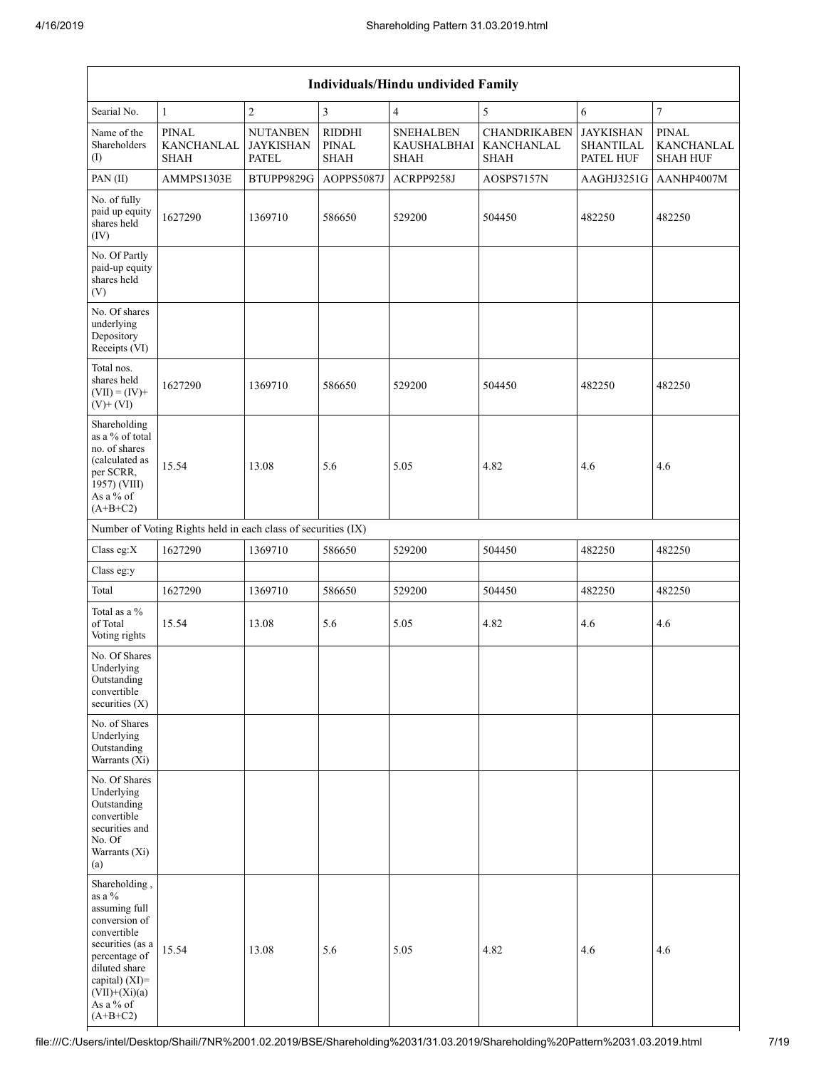| <b>Individuals/Hindu undivided Family</b>                                                                                                                                                         |                                                               |                                                     |                                       |                                                |                                                  |                                                   |                                               |  |  |  |  |
|---------------------------------------------------------------------------------------------------------------------------------------------------------------------------------------------------|---------------------------------------------------------------|-----------------------------------------------------|---------------------------------------|------------------------------------------------|--------------------------------------------------|---------------------------------------------------|-----------------------------------------------|--|--|--|--|
| Searial No.                                                                                                                                                                                       | $\mathbf{1}$                                                  | $\sqrt{2}$                                          | 3                                     | $\overline{4}$                                 | 5                                                | 6                                                 | $\boldsymbol{7}$                              |  |  |  |  |
| Name of the<br>Shareholders<br>$($ I                                                                                                                                                              | <b>PINAL</b><br><b>KANCHANLAL</b><br><b>SHAH</b>              | <b>NUTANBEN</b><br><b>JAYKISHAN</b><br><b>PATEL</b> | RIDDHI<br><b>PINAL</b><br><b>SHAH</b> | <b>SNEHALBEN</b><br>KAUSHALBHAI<br><b>SHAH</b> | <b>CHANDRIKABEN</b><br>KANCHANLAL<br><b>SHAH</b> | <b>JAYKISHAN</b><br><b>SHANTILAL</b><br>PATEL HUF | <b>PINAL</b><br>KANCHANLAL<br><b>SHAH HUF</b> |  |  |  |  |
| PAN(II)                                                                                                                                                                                           | AMMPS1303E                                                    | BTUPP9829G                                          | AOPPS5087J                            | ACRPP9258J                                     | AOSPS7157N                                       | AAGHJ3251G                                        | AANHP4007M                                    |  |  |  |  |
| No. of fully<br>paid up equity<br>shares held<br>(IV)                                                                                                                                             | 1627290                                                       | 1369710                                             | 586650                                | 529200                                         | 504450                                           | 482250                                            | 482250                                        |  |  |  |  |
| No. Of Partly<br>paid-up equity<br>shares held<br>(V)                                                                                                                                             |                                                               |                                                     |                                       |                                                |                                                  |                                                   |                                               |  |  |  |  |
| No. Of shares<br>underlying<br>Depository<br>Receipts (VI)                                                                                                                                        |                                                               |                                                     |                                       |                                                |                                                  |                                                   |                                               |  |  |  |  |
| Total nos.<br>shares held<br>$(VII) = (IV) +$<br>$(V)+(VI)$                                                                                                                                       | 1627290                                                       | 1369710                                             | 586650                                | 529200                                         | 504450                                           | 482250                                            | 482250                                        |  |  |  |  |
| Shareholding<br>as a % of total<br>no. of shares<br>(calculated as<br>per SCRR,<br>1957) (VIII)<br>As a % of<br>$(A+B+C2)$                                                                        | 15.54                                                         | 13.08                                               | 5.6                                   | 5.05                                           | 4.82                                             | 4.6                                               | 4.6                                           |  |  |  |  |
|                                                                                                                                                                                                   | Number of Voting Rights held in each class of securities (IX) |                                                     |                                       |                                                |                                                  |                                                   |                                               |  |  |  |  |
| Class eg:X                                                                                                                                                                                        | 1627290                                                       | 1369710                                             | 586650                                | 529200                                         | 504450                                           | 482250                                            | 482250                                        |  |  |  |  |
| Class eg:y                                                                                                                                                                                        |                                                               |                                                     |                                       |                                                |                                                  |                                                   |                                               |  |  |  |  |
| Total                                                                                                                                                                                             | 1627290                                                       | 1369710                                             | 586650                                | 529200                                         | 504450                                           | 482250                                            | 482250                                        |  |  |  |  |
| Total as a %<br>of Total<br>Voting rights                                                                                                                                                         | 15.54                                                         | 13.08                                               | 5.6                                   | 5.05                                           | 4.82                                             | 4.6                                               | 4.6                                           |  |  |  |  |
| No. Of Shares<br>Underlying<br>Outstanding<br>convertible<br>securities $(X)$                                                                                                                     |                                                               |                                                     |                                       |                                                |                                                  |                                                   |                                               |  |  |  |  |
| No. of Shares<br>Underlying<br>Outstanding<br>Warrants (Xi)                                                                                                                                       |                                                               |                                                     |                                       |                                                |                                                  |                                                   |                                               |  |  |  |  |
| No. Of Shares<br>Underlying<br>Outstanding<br>convertible<br>securities and<br>No. Of<br>Warrants (Xi)<br>(a)                                                                                     |                                                               |                                                     |                                       |                                                |                                                  |                                                   |                                               |  |  |  |  |
| Shareholding,<br>as a %<br>assuming full<br>conversion of<br>convertible<br>securities (as a<br>percentage of<br>diluted share<br>capital) $(XI)$ =<br>$(VII)+(Xi)(a)$<br>As a % of<br>$(A+B+C2)$ | 15.54                                                         | 13.08                                               | 5.6                                   | 5.05                                           | 4.82                                             | 4.6                                               | 4.6                                           |  |  |  |  |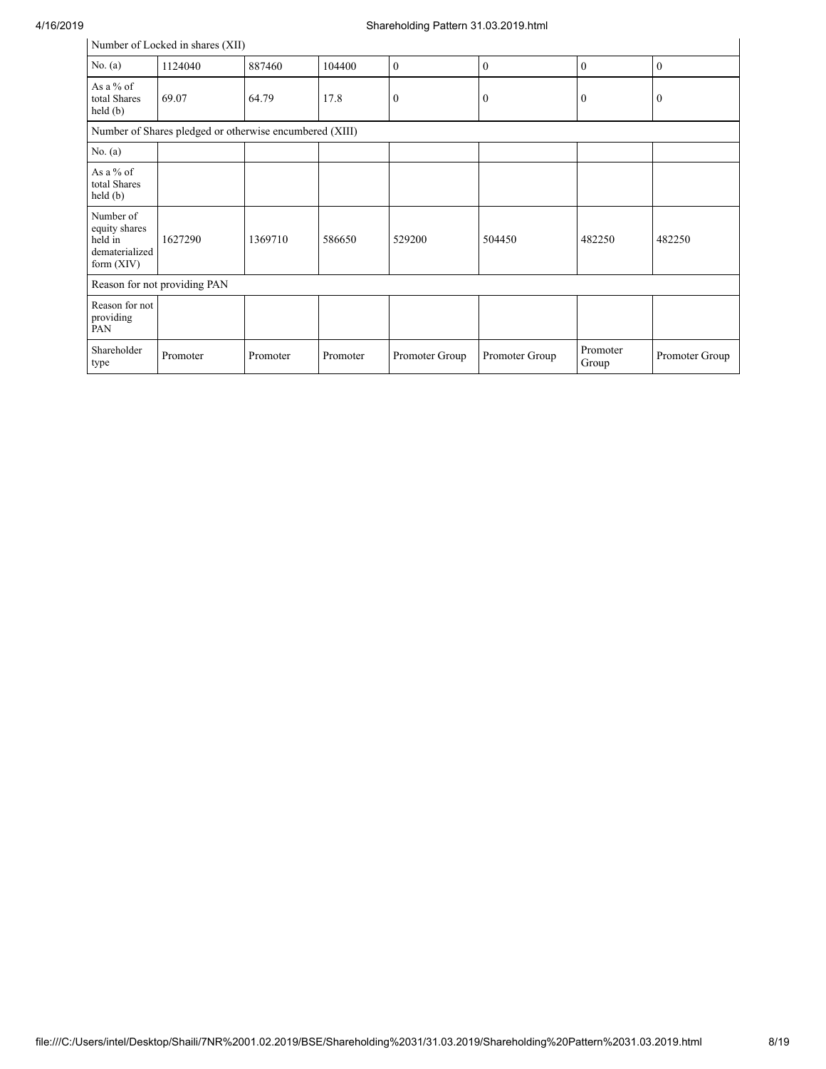## 4/16/2019 Shareholding Pattern 31.03.2019.html

| Number of Locked in shares (XII)                                        |                                                         |          |          |                |                |                   |                |  |  |  |
|-------------------------------------------------------------------------|---------------------------------------------------------|----------|----------|----------------|----------------|-------------------|----------------|--|--|--|
| No. $(a)$                                                               | 1124040                                                 | 887460   | 104400   | $\theta$       | $\mathbf{0}$   | $\mathbf{0}$      | $\mathbf{0}$   |  |  |  |
| As a $%$ of<br>total Shares<br>held(b)                                  | 69.07                                                   | 64.79    | 17.8     | $\mathbf{0}$   | $\mathbf{0}$   | $\mathbf{0}$      | $\mathbf{0}$   |  |  |  |
|                                                                         | Number of Shares pledged or otherwise encumbered (XIII) |          |          |                |                |                   |                |  |  |  |
| No. $(a)$                                                               |                                                         |          |          |                |                |                   |                |  |  |  |
| As a $%$ of<br>total Shares<br>held $(b)$                               |                                                         |          |          |                |                |                   |                |  |  |  |
| Number of<br>equity shares<br>held in<br>dematerialized<br>form $(XIV)$ | 1627290                                                 | 1369710  | 586650   | 529200         | 504450         | 482250            | 482250         |  |  |  |
|                                                                         | Reason for not providing PAN                            |          |          |                |                |                   |                |  |  |  |
| Reason for not<br>providing<br>PAN                                      |                                                         |          |          |                |                |                   |                |  |  |  |
| Shareholder<br>type                                                     | Promoter                                                | Promoter | Promoter | Promoter Group | Promoter Group | Promoter<br>Group | Promoter Group |  |  |  |

 $\mathbf{r}$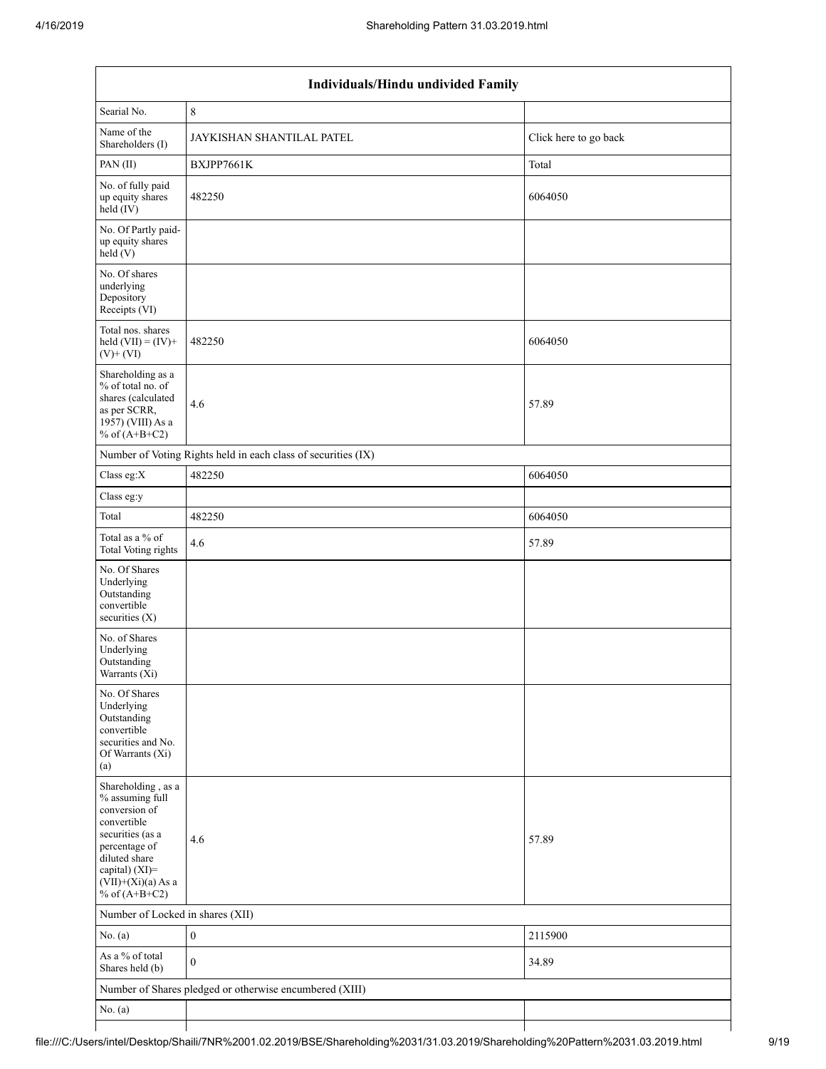| Individuals/Hindu undivided Family                                                                                                                                                       |                                                               |                       |  |  |  |  |  |  |  |  |
|------------------------------------------------------------------------------------------------------------------------------------------------------------------------------------------|---------------------------------------------------------------|-----------------------|--|--|--|--|--|--|--|--|
| Searial No.                                                                                                                                                                              | $\,8\,$                                                       |                       |  |  |  |  |  |  |  |  |
| Name of the<br>Shareholders (I)                                                                                                                                                          | JAYKISHAN SHANTILAL PATEL                                     | Click here to go back |  |  |  |  |  |  |  |  |
| PAN(II)                                                                                                                                                                                  | BXJPP7661K                                                    | Total                 |  |  |  |  |  |  |  |  |
| No. of fully paid<br>up equity shares<br>$held$ (IV)                                                                                                                                     | 482250                                                        | 6064050               |  |  |  |  |  |  |  |  |
| No. Of Partly paid-<br>up equity shares<br>held(V)                                                                                                                                       |                                                               |                       |  |  |  |  |  |  |  |  |
| No. Of shares<br>underlying<br>Depository<br>Receipts (VI)                                                                                                                               |                                                               |                       |  |  |  |  |  |  |  |  |
| Total nos. shares<br>held $(VII) = (IV) +$<br>$(V)$ + $(VI)$                                                                                                                             | 482250                                                        | 6064050               |  |  |  |  |  |  |  |  |
| Shareholding as a<br>% of total no. of<br>shares (calculated<br>as per SCRR,<br>1957) (VIII) As a<br>% of $(A+B+C2)$                                                                     | 4.6                                                           | 57.89                 |  |  |  |  |  |  |  |  |
|                                                                                                                                                                                          | Number of Voting Rights held in each class of securities (IX) |                       |  |  |  |  |  |  |  |  |
| Class eg:X                                                                                                                                                                               | 482250                                                        | 6064050               |  |  |  |  |  |  |  |  |
| Class eg:y                                                                                                                                                                               |                                                               |                       |  |  |  |  |  |  |  |  |
| Total                                                                                                                                                                                    | 482250                                                        | 6064050               |  |  |  |  |  |  |  |  |
| Total as a % of<br>Total Voting rights                                                                                                                                                   | 4.6                                                           | 57.89                 |  |  |  |  |  |  |  |  |
| No. Of Shares<br>Underlying<br>Outstanding<br>convertible<br>securities $(X)$                                                                                                            |                                                               |                       |  |  |  |  |  |  |  |  |
| No. of Shares<br>Underlying<br>Outstanding<br>Warrants (Xi)                                                                                                                              |                                                               |                       |  |  |  |  |  |  |  |  |
| No. Of Shares<br>Underlying<br>Outstanding<br>convertible<br>securities and No.<br>Of Warrants (Xi)<br>(a)                                                                               |                                                               |                       |  |  |  |  |  |  |  |  |
| Shareholding, as a<br>% assuming full<br>conversion of<br>convertible<br>securities (as a<br>percentage of<br>diluted share<br>capital) (XI)=<br>$(VII)+(Xi)(a)$ As a<br>% of $(A+B+C2)$ | 4.6                                                           | 57.89                 |  |  |  |  |  |  |  |  |
| Number of Locked in shares (XII)                                                                                                                                                         |                                                               |                       |  |  |  |  |  |  |  |  |
| No. $(a)$                                                                                                                                                                                | $\boldsymbol{0}$                                              | 2115900               |  |  |  |  |  |  |  |  |
| As a % of total<br>Shares held (b)                                                                                                                                                       | $\mathbf{0}$                                                  | 34.89                 |  |  |  |  |  |  |  |  |
|                                                                                                                                                                                          | Number of Shares pledged or otherwise encumbered (XIII)       |                       |  |  |  |  |  |  |  |  |
| No. $(a)$                                                                                                                                                                                |                                                               |                       |  |  |  |  |  |  |  |  |
|                                                                                                                                                                                          |                                                               |                       |  |  |  |  |  |  |  |  |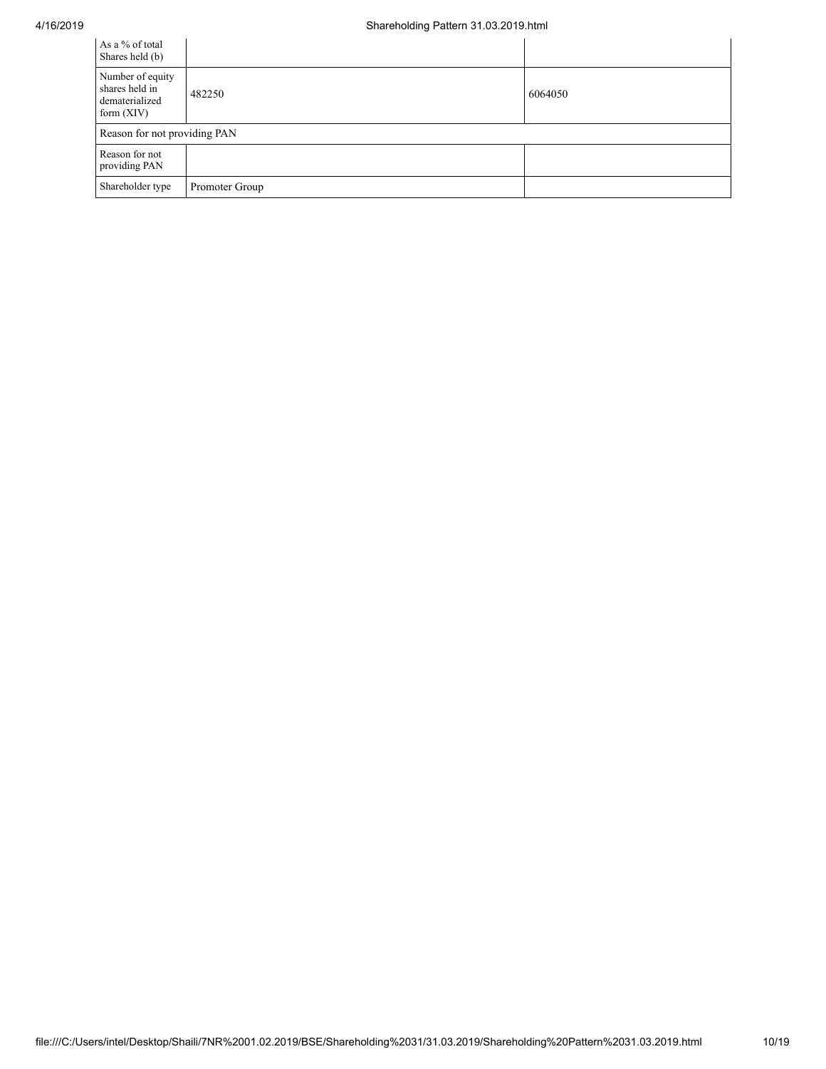| As a % of total<br>Shares held (b)                                   |                |         |
|----------------------------------------------------------------------|----------------|---------|
| Number of equity<br>shares held in<br>dematerialized<br>form $(XIV)$ | 482250         | 6064050 |
| Reason for not providing PAN                                         |                |         |
| Reason for not<br>providing PAN                                      |                |         |
| Shareholder type                                                     | Promoter Group |         |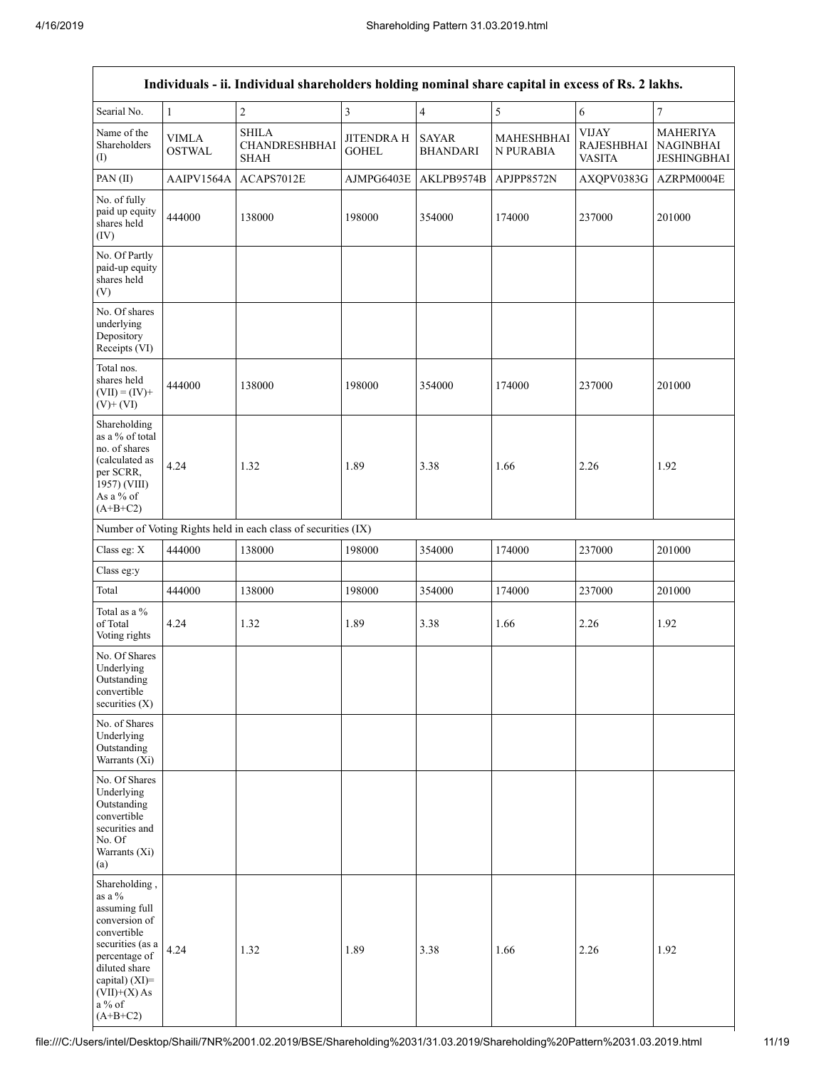| Individuals - ii. Individual shareholders holding nominal share capital in excess of Rs. 2 lakhs.                                                                                                |                               |                                                               |                                   |                                 |                         |                                                    |                                                    |  |  |  |
|--------------------------------------------------------------------------------------------------------------------------------------------------------------------------------------------------|-------------------------------|---------------------------------------------------------------|-----------------------------------|---------------------------------|-------------------------|----------------------------------------------------|----------------------------------------------------|--|--|--|
| Searial No.                                                                                                                                                                                      | $\mathbf{1}$                  | $\sqrt{2}$                                                    | 3                                 | $\overline{4}$                  | 5                       | $\epsilon$                                         | $\boldsymbol{7}$                                   |  |  |  |
| Name of the<br>Shareholders<br>(1)                                                                                                                                                               | <b>VIMLA</b><br><b>OSTWAL</b> | <b>SHILA</b><br>CHANDRESHBHAI<br><b>SHAH</b>                  | <b>JITENDRA H</b><br><b>GOHEL</b> | <b>SAYAR</b><br><b>BHANDARI</b> | MAHESHBHAI<br>N PURABIA | <b>VIJAY</b><br><b>RAJESHBHAI</b><br><b>VASITA</b> | <b>MAHERIYA</b><br><b>NAGINBHAI</b><br>JESHINGBHAI |  |  |  |
| PAN(II)                                                                                                                                                                                          | AAIPV1564A                    | ACAPS7012E                                                    | AJMPG6403E                        | AKLPB9574B                      | APJPP8572N              | AXQPV0383G                                         | AZRPM0004E                                         |  |  |  |
| No. of fully<br>paid up equity<br>shares held<br>(IV)                                                                                                                                            | 444000                        | 138000                                                        | 198000                            | 354000                          | 174000                  | 237000                                             | 201000                                             |  |  |  |
| No. Of Partly<br>paid-up equity<br>shares held<br>(V)                                                                                                                                            |                               |                                                               |                                   |                                 |                         |                                                    |                                                    |  |  |  |
| No. Of shares<br>underlying<br>Depository<br>Receipts (VI)                                                                                                                                       |                               |                                                               |                                   |                                 |                         |                                                    |                                                    |  |  |  |
| Total nos.<br>shares held<br>$(VII) = (IV) +$<br>$(V)+(VI)$                                                                                                                                      | 444000                        | 138000                                                        | 198000                            | 354000                          | 174000                  | 237000                                             | 201000                                             |  |  |  |
| Shareholding<br>as a % of total<br>no. of shares<br>(calculated as<br>per SCRR,<br>1957) (VIII)<br>As a % of<br>$(A+B+C2)$                                                                       | 4.24                          | 1.32                                                          | 1.89                              | 3.38                            | 1.66                    | 2.26                                               | 1.92                                               |  |  |  |
|                                                                                                                                                                                                  |                               | Number of Voting Rights held in each class of securities (IX) |                                   |                                 |                         |                                                    |                                                    |  |  |  |
| Class eg: X                                                                                                                                                                                      | 444000                        | 138000                                                        | 198000                            | 354000                          | 174000                  | 237000                                             | 201000                                             |  |  |  |
| Class eg:y                                                                                                                                                                                       |                               |                                                               |                                   |                                 |                         |                                                    |                                                    |  |  |  |
| Total                                                                                                                                                                                            | 444000                        | 138000                                                        | 198000                            | 354000                          | 174000                  | 237000                                             | 201000                                             |  |  |  |
| Total as a %<br>of Total<br>Voting rights                                                                                                                                                        | 4.24                          | 1.32                                                          | 1.89                              | 3.38                            | 1.66                    | 2.26                                               | 1.92                                               |  |  |  |
| No. Of Shares<br>Underlying<br>Outstanding<br>convertible<br>securities $(X)$                                                                                                                    |                               |                                                               |                                   |                                 |                         |                                                    |                                                    |  |  |  |
| No. of Shares<br>Underlying<br>Outstanding<br>Warrants (Xi)                                                                                                                                      |                               |                                                               |                                   |                                 |                         |                                                    |                                                    |  |  |  |
| No. Of Shares<br>Underlying<br>Outstanding<br>convertible<br>securities and<br>No. Of<br>Warrants (Xi)<br>(a)                                                                                    |                               |                                                               |                                   |                                 |                         |                                                    |                                                    |  |  |  |
| Shareholding,<br>as a %<br>assuming full<br>conversion of<br>convertible<br>securities (as a<br>percentage of<br>diluted share<br>capital) $(XI)$ =<br>$(VII)+(X)$ As<br>a $\%$ of<br>$(A+B+C2)$ | 4.24                          | 1.32                                                          | 1.89                              | 3.38                            | 1.66                    | 2.26                                               | 1.92                                               |  |  |  |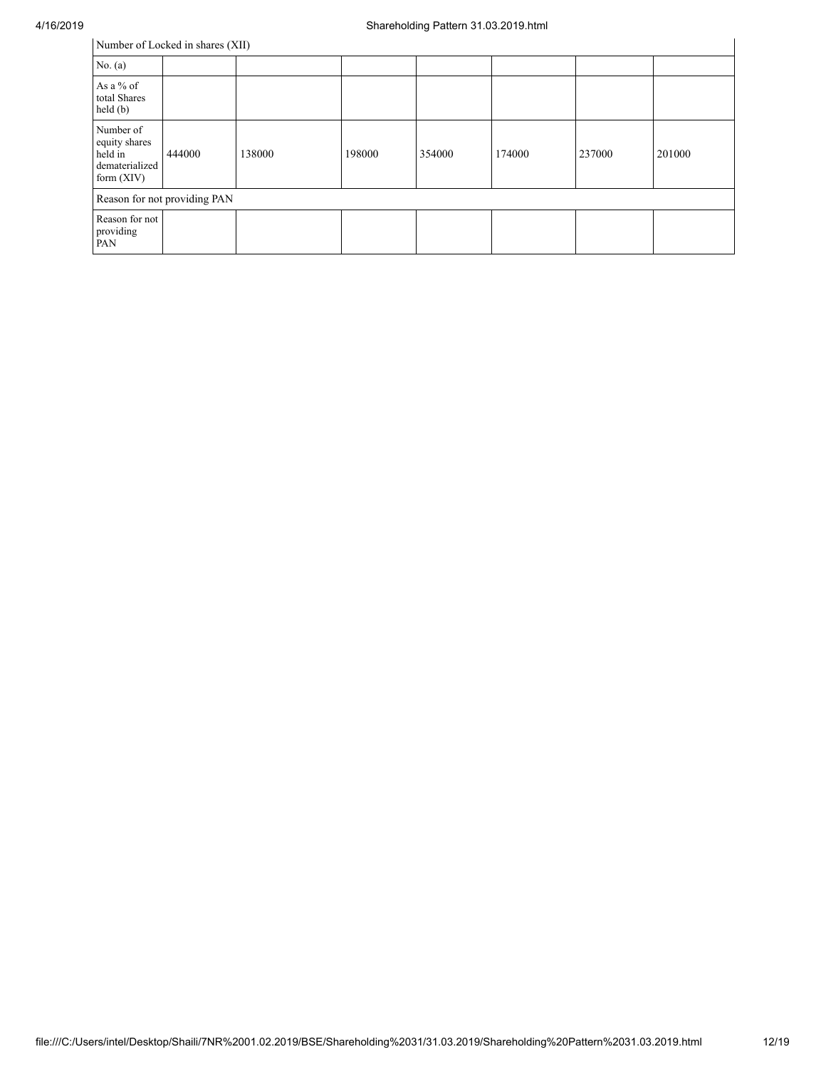| Number of Locked in shares (XII)                                        |                              |        |        |        |        |        |        |  |  |  |
|-------------------------------------------------------------------------|------------------------------|--------|--------|--------|--------|--------|--------|--|--|--|
| No. $(a)$                                                               |                              |        |        |        |        |        |        |  |  |  |
| As a $%$ of<br>total Shares<br>held(b)                                  |                              |        |        |        |        |        |        |  |  |  |
| Number of<br>equity shares<br>held in<br>dematerialized<br>form $(XIV)$ | 444000                       | 138000 | 198000 | 354000 | 174000 | 237000 | 201000 |  |  |  |
|                                                                         | Reason for not providing PAN |        |        |        |        |        |        |  |  |  |
| Reason for not<br>providing<br>PAN                                      |                              |        |        |        |        |        |        |  |  |  |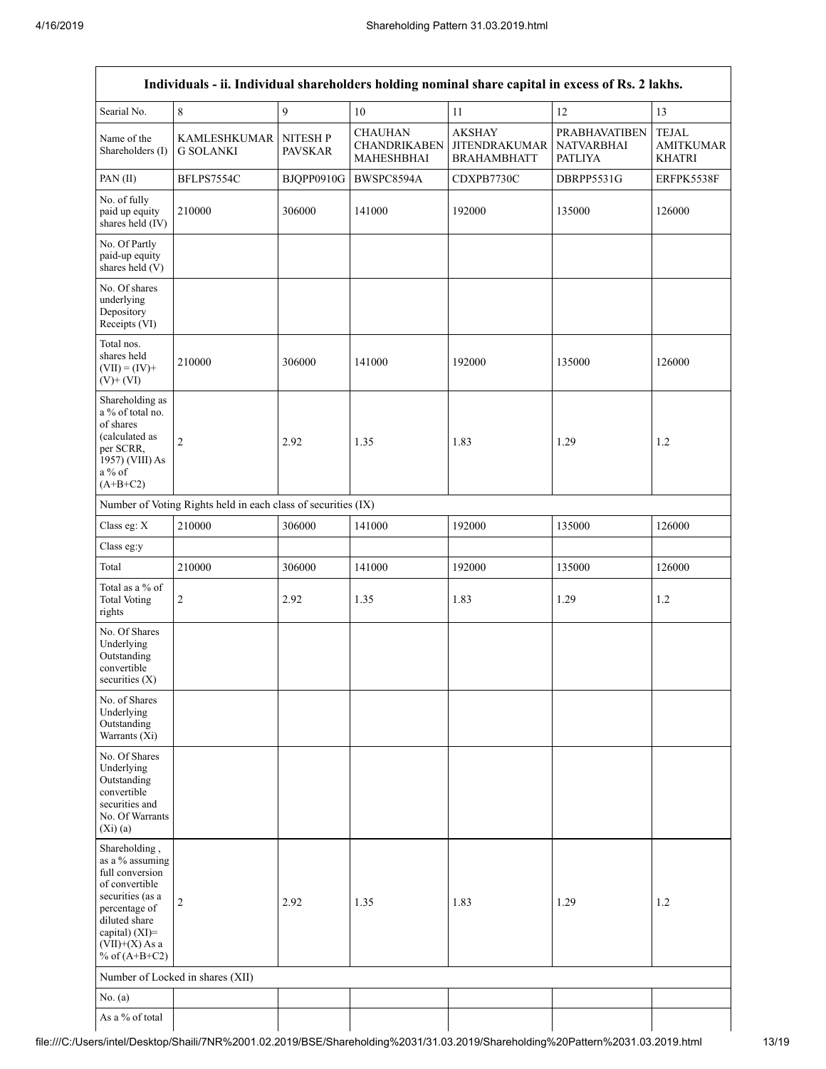| Individuals - ii. Individual shareholders holding nominal share capital in excess of Rs. 2 lakhs.                                                                                    |                                                               |                            |                                                     |                                                             |                                                             |                                                   |
|--------------------------------------------------------------------------------------------------------------------------------------------------------------------------------------|---------------------------------------------------------------|----------------------------|-----------------------------------------------------|-------------------------------------------------------------|-------------------------------------------------------------|---------------------------------------------------|
| Searial No.                                                                                                                                                                          | 8                                                             | 9                          | 10                                                  | 11                                                          | 12                                                          | 13                                                |
| Name of the<br>Shareholders (I)                                                                                                                                                      | <b>KAMLESHKUMAR</b><br><b>G SOLANKI</b>                       | NITESH P<br><b>PAVSKAR</b> | <b>CHAUHAN</b><br><b>CHANDRIKABEN</b><br>MAHESHBHAI | <b>AKSHAY</b><br><b>JITENDRAKUMAR</b><br><b>BRAHAMBHATT</b> | <b>PRABHAVATIBEN</b><br><b>NATVARBHAI</b><br><b>PATLIYA</b> | <b>TEJAL</b><br><b>AMITKUMAR</b><br><b>KHATRI</b> |
| PAN(II)                                                                                                                                                                              | BFLPS7554C                                                    | BJQPP0910G                 | BWSPC8594A                                          | CDXPB7730C                                                  | DBRPP5531G                                                  | ERFPK5538F                                        |
| No. of fully<br>paid up equity<br>shares held (IV)                                                                                                                                   | 210000                                                        | 306000                     | 141000                                              | 192000                                                      | 135000                                                      | 126000                                            |
| No. Of Partly<br>paid-up equity<br>shares held (V)                                                                                                                                   |                                                               |                            |                                                     |                                                             |                                                             |                                                   |
| No. Of shares<br>underlying<br>Depository<br>Receipts (VI)                                                                                                                           |                                                               |                            |                                                     |                                                             |                                                             |                                                   |
| Total nos.<br>shares held<br>$(VII) = (IV) +$<br>$(V)$ + $(VI)$                                                                                                                      | 210000                                                        | 306000                     | 141000                                              | 192000                                                      | 135000                                                      | 126000                                            |
| Shareholding as<br>a % of total no.<br>of shares<br>(calculated as<br>per SCRR,<br>1957) (VIII) As<br>$a\%$ of<br>$(A+B+C2)$                                                         | $\overline{c}$                                                | 2.92                       | 1.35                                                | 1.83                                                        | 1.29                                                        | 1.2                                               |
|                                                                                                                                                                                      | Number of Voting Rights held in each class of securities (IX) |                            |                                                     |                                                             |                                                             |                                                   |
| Class eg: X                                                                                                                                                                          | 210000                                                        | 306000                     | 141000                                              | 192000                                                      | 135000                                                      | 126000                                            |
| Class eg:y                                                                                                                                                                           |                                                               |                            |                                                     |                                                             |                                                             |                                                   |
| Total                                                                                                                                                                                | 210000                                                        | 306000                     | 141000                                              | 192000                                                      | 135000                                                      | 126000                                            |
| Total as a % of<br><b>Total Voting</b><br>rights                                                                                                                                     | 2                                                             | 2.92                       | 1.35                                                | 1.83                                                        | 1.29                                                        | 1.2                                               |
| No. Of Shares<br>Underlying<br>Outstanding<br>convertible<br>securities $(X)$                                                                                                        |                                                               |                            |                                                     |                                                             |                                                             |                                                   |
| No. of Shares<br>Underlying<br>Outstanding<br>Warrants (Xi)                                                                                                                          |                                                               |                            |                                                     |                                                             |                                                             |                                                   |
| No. Of Shares<br>Underlying<br>Outstanding<br>convertible<br>securities and<br>No. Of Warrants<br>(Xi)(a)                                                                            |                                                               |                            |                                                     |                                                             |                                                             |                                                   |
| Shareholding,<br>as a % assuming<br>full conversion<br>of convertible<br>securities (as a<br>percentage of<br>diluted share<br>capital) (XI)=<br>$(VII)+(X)$ As a<br>% of $(A+B+C2)$ | 2                                                             | 2.92                       | 1.35                                                | 1.83                                                        | 1.29                                                        | 1.2                                               |
| Number of Locked in shares (XII)                                                                                                                                                     |                                                               |                            |                                                     |                                                             |                                                             |                                                   |
| No. (a)                                                                                                                                                                              |                                                               |                            |                                                     |                                                             |                                                             |                                                   |
| As a % of total                                                                                                                                                                      |                                                               |                            |                                                     |                                                             |                                                             |                                                   |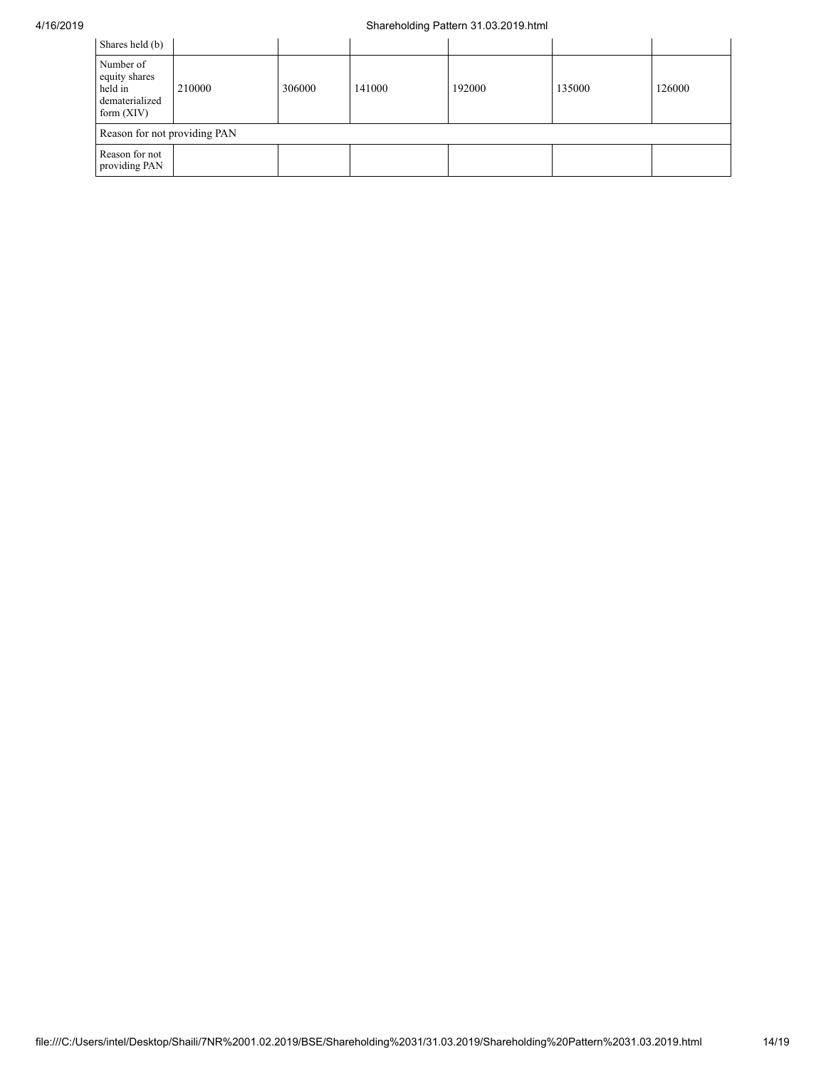## 4/16/2019 Shareholding Pattern 31.03.2019.html

| Shares held (b)                                                         |        |        |        |        |        |        |
|-------------------------------------------------------------------------|--------|--------|--------|--------|--------|--------|
| Number of<br>equity shares<br>held in<br>dematerialized<br>form $(XIV)$ | 210000 | 306000 | 141000 | 192000 | 135000 | 126000 |
| Reason for not providing PAN                                            |        |        |        |        |        |        |
| Reason for not<br>providing PAN                                         |        |        |        |        |        |        |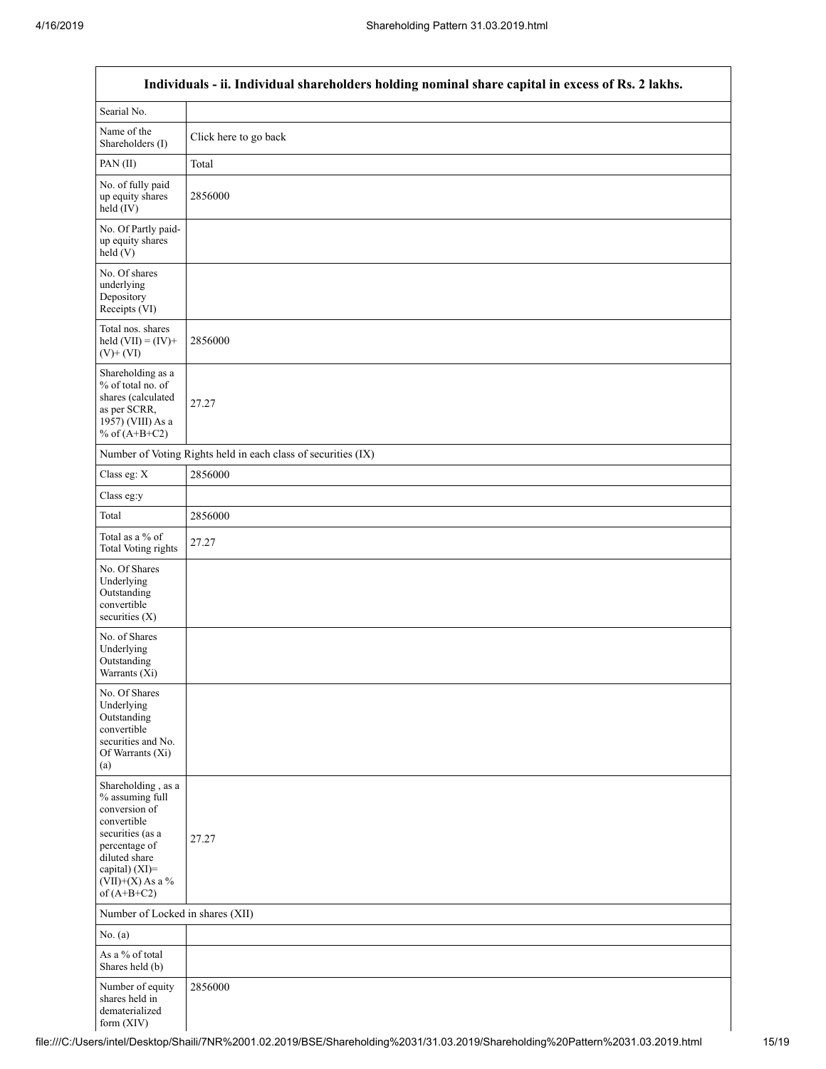$\mathsf{r}$ 

| Individuals - ii. Individual shareholders holding nominal share capital in excess of Rs. 2 lakhs.                                                                                    |                                                               |  |  |  |  |
|--------------------------------------------------------------------------------------------------------------------------------------------------------------------------------------|---------------------------------------------------------------|--|--|--|--|
| Searial No.                                                                                                                                                                          |                                                               |  |  |  |  |
| Name of the<br>Shareholders (I)                                                                                                                                                      | Click here to go back                                         |  |  |  |  |
| PAN(II)                                                                                                                                                                              | Total                                                         |  |  |  |  |
| No. of fully paid<br>up equity shares<br>held (IV)                                                                                                                                   | 2856000                                                       |  |  |  |  |
| No. Of Partly paid-<br>up equity shares<br>held(V)                                                                                                                                   |                                                               |  |  |  |  |
| No. Of shares<br>underlying<br>Depository<br>Receipts (VI)                                                                                                                           |                                                               |  |  |  |  |
| Total nos. shares<br>held $(VII) = (IV) +$<br>$(V)$ + $(VI)$                                                                                                                         | 2856000                                                       |  |  |  |  |
| Shareholding as a<br>% of total no. of<br>shares (calculated<br>as per SCRR,<br>1957) (VIII) As a<br>% of $(A+B+C2)$                                                                 | 27.27                                                         |  |  |  |  |
|                                                                                                                                                                                      | Number of Voting Rights held in each class of securities (IX) |  |  |  |  |
| Class eg: X                                                                                                                                                                          | 2856000                                                       |  |  |  |  |
| Class eg:y                                                                                                                                                                           |                                                               |  |  |  |  |
| Total                                                                                                                                                                                | 2856000                                                       |  |  |  |  |
| Total as a % of<br><b>Total Voting rights</b>                                                                                                                                        | 27.27                                                         |  |  |  |  |
| No. Of Shares<br>Underlying<br>Outstanding<br>convertible<br>securities (X)                                                                                                          |                                                               |  |  |  |  |
| No. of Shares<br>Underlying<br>Outstanding<br>Warrants (Xi)                                                                                                                          |                                                               |  |  |  |  |
| No. Of Shares<br>Underlying<br>Outstanding<br>convertible<br>securities and No.<br>Of Warrants (Xi)<br>(a)                                                                           |                                                               |  |  |  |  |
| Shareholding, as a<br>% assuming full<br>conversion of<br>convertible<br>securities (as a<br>percentage of<br>diluted share<br>capital) (XI)=<br>$(VII)+(X)$ As a %<br>of $(A+B+C2)$ | 27.27                                                         |  |  |  |  |
| Number of Locked in shares (XII)                                                                                                                                                     |                                                               |  |  |  |  |
| No. (a)                                                                                                                                                                              |                                                               |  |  |  |  |
| As a % of total<br>Shares held (b)                                                                                                                                                   |                                                               |  |  |  |  |
| Number of equity<br>shares held in<br>dematerialized<br>form (XIV)                                                                                                                   | 2856000                                                       |  |  |  |  |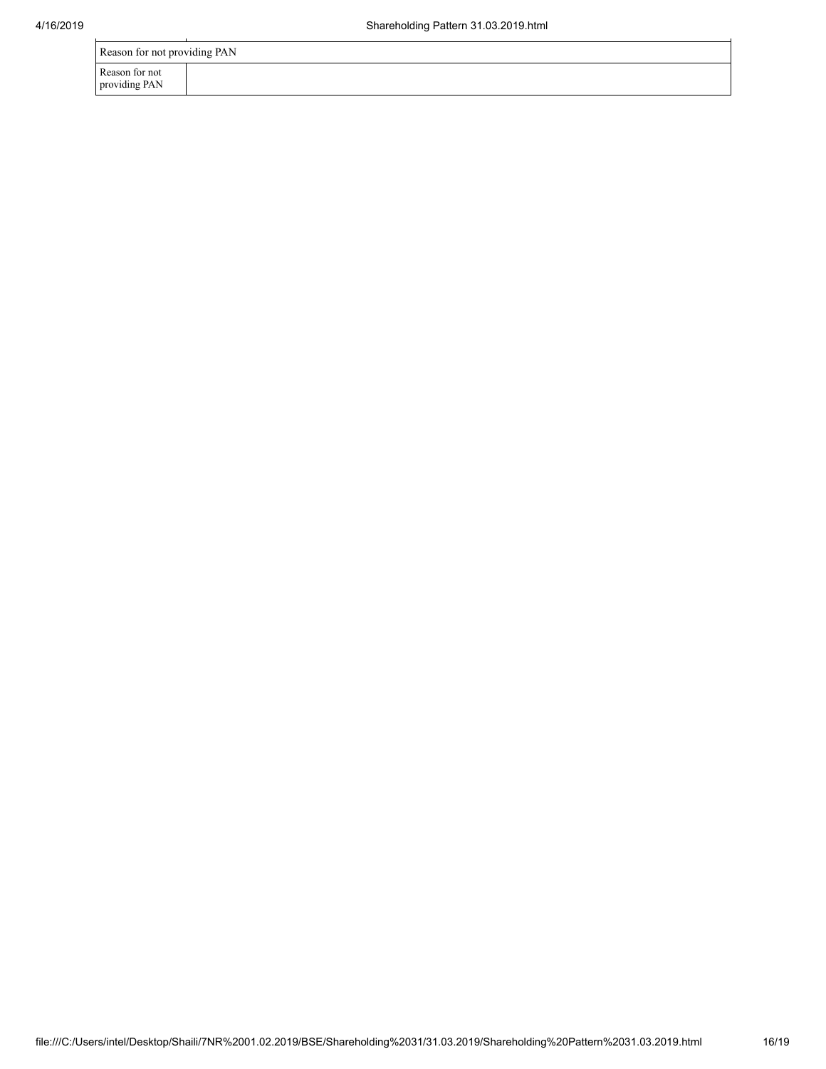| Reason for not providing PAN    |  |  |  |  |
|---------------------------------|--|--|--|--|
| Reason for not<br>providing PAN |  |  |  |  |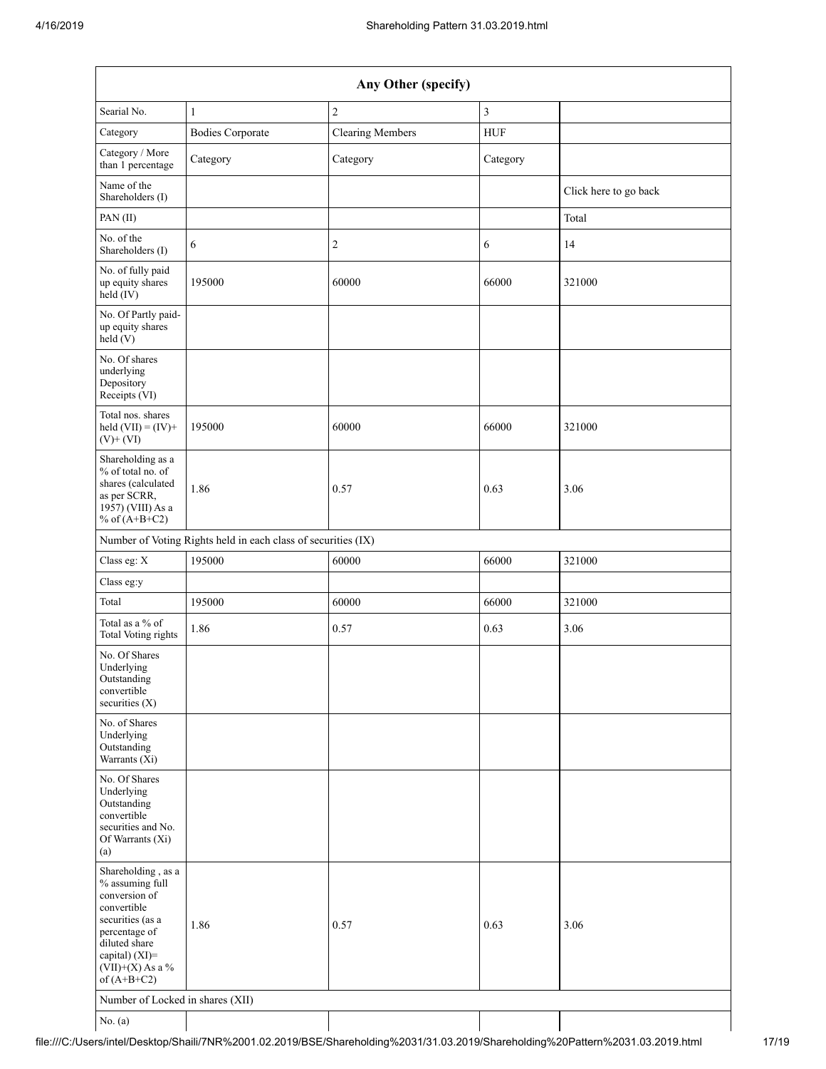| Any Other (specify)                                                                                                                                                                  |                                                               |                         |                         |                       |  |
|--------------------------------------------------------------------------------------------------------------------------------------------------------------------------------------|---------------------------------------------------------------|-------------------------|-------------------------|-----------------------|--|
| Searial No.                                                                                                                                                                          | $\mathbf{1}$                                                  | $\sqrt{2}$              | $\overline{\mathbf{3}}$ |                       |  |
| Category                                                                                                                                                                             | <b>Bodies Corporate</b>                                       | <b>Clearing Members</b> | <b>HUF</b>              |                       |  |
| Category / More<br>than 1 percentage                                                                                                                                                 | Category                                                      | Category                | Category                |                       |  |
| Name of the<br>Shareholders (I)                                                                                                                                                      |                                                               |                         |                         | Click here to go back |  |
| PAN(II)                                                                                                                                                                              |                                                               |                         |                         | Total                 |  |
| No. of the<br>Shareholders (I)                                                                                                                                                       | 6                                                             | $\boldsymbol{2}$        | 6                       | 14                    |  |
| No. of fully paid<br>up equity shares<br>held (IV)                                                                                                                                   | 195000                                                        | 60000                   | 66000                   | 321000                |  |
| No. Of Partly paid-<br>up equity shares<br>held (V)                                                                                                                                  |                                                               |                         |                         |                       |  |
| No. Of shares<br>underlying<br>Depository<br>Receipts (VI)                                                                                                                           |                                                               |                         |                         |                       |  |
| Total nos. shares<br>held $(VII) = (IV) +$<br>$(V)$ + $(VI)$                                                                                                                         | 195000                                                        | 60000                   | 66000                   | 321000                |  |
| Shareholding as a<br>% of total no. of<br>shares (calculated<br>as per SCRR,<br>1957) (VIII) As a<br>% of $(A+B+C2)$                                                                 | 1.86                                                          | 0.57                    | 0.63                    | 3.06                  |  |
|                                                                                                                                                                                      | Number of Voting Rights held in each class of securities (IX) |                         |                         |                       |  |
| Class eg: X                                                                                                                                                                          | 195000                                                        | 60000                   | 66000                   | 321000                |  |
| Class eg:y                                                                                                                                                                           |                                                               |                         |                         |                       |  |
| Total                                                                                                                                                                                | 195000                                                        | 60000                   | 66000                   | 321000                |  |
| Total as a % of<br><b>Total Voting rights</b>                                                                                                                                        | 1.86                                                          | 0.57                    | 0.63                    | 3.06                  |  |
| No. Of Shares<br>Underlying<br>Outstanding<br>convertible<br>securities $(X)$                                                                                                        |                                                               |                         |                         |                       |  |
| No. of Shares<br>Underlying<br>Outstanding<br>Warrants $(X_i)$                                                                                                                       |                                                               |                         |                         |                       |  |
| No. Of Shares<br>Underlying<br>Outstanding<br>convertible<br>securities and No.<br>Of Warrants (Xi)<br>(a)                                                                           |                                                               |                         |                         |                       |  |
| Shareholding, as a<br>% assuming full<br>conversion of<br>convertible<br>securities (as a<br>percentage of<br>diluted share<br>capital) (XI)=<br>$(VII)+(X)$ As a %<br>of $(A+B+C2)$ | 1.86                                                          | 0.57                    | 0.63                    | 3.06                  |  |
| Number of Locked in shares (XII)                                                                                                                                                     |                                                               |                         |                         |                       |  |
| No. (a)                                                                                                                                                                              |                                                               |                         |                         |                       |  |